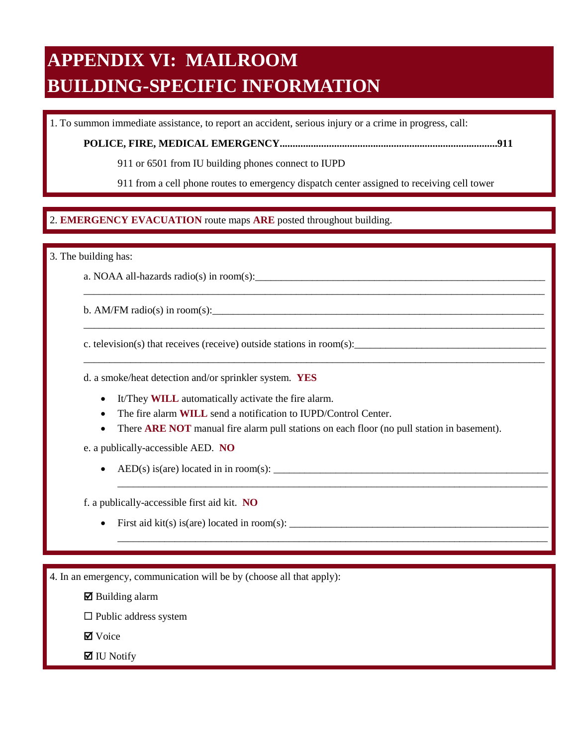# **APPENDIX VI: MAILROOM BUILDING-SPECIFIC INFORMATION**

1. To summon immediate assistance, to report an accident, serious injury or a crime in progress, call:

**POLICE, FIRE, MEDICAL EMERGENCY....................................................................................911** 

911 or 6501 from IU building phones connect to IUPD

911 from a cell phone routes to emergency dispatch center assigned to receiving cell tower

\_\_\_\_\_\_\_\_\_\_\_\_\_\_\_\_\_\_\_\_\_\_\_\_\_\_\_\_\_\_\_\_\_\_\_\_\_\_\_\_\_\_\_\_\_\_\_\_\_\_\_\_\_\_\_\_\_\_\_\_\_\_\_\_\_\_\_\_\_\_\_\_\_\_\_\_\_\_\_\_\_\_\_\_\_\_\_\_\_

\_\_\_\_\_\_\_\_\_\_\_\_\_\_\_\_\_\_\_\_\_\_\_\_\_\_\_\_\_\_\_\_\_\_\_\_\_\_\_\_\_\_\_\_\_\_\_\_\_\_\_\_\_\_\_\_\_\_\_\_\_\_\_\_\_\_\_\_\_\_\_\_\_\_\_\_\_\_\_\_\_\_\_\_\_\_\_\_\_

\_\_\_\_\_\_\_\_\_\_\_\_\_\_\_\_\_\_\_\_\_\_\_\_\_\_\_\_\_\_\_\_\_\_\_\_\_\_\_\_\_\_\_\_\_\_\_\_\_\_\_\_\_\_\_\_\_\_\_\_\_\_\_\_\_\_\_\_\_\_\_\_\_\_\_\_\_\_\_\_\_\_\_\_\_\_\_\_\_

\_\_\_\_\_\_\_\_\_\_\_\_\_\_\_\_\_\_\_\_\_\_\_\_\_\_\_\_\_\_\_\_\_\_\_\_\_\_\_\_\_\_\_\_\_\_\_\_\_\_\_\_\_\_\_\_\_\_\_\_\_\_\_\_\_\_\_\_\_\_\_\_\_\_\_\_\_\_\_\_\_\_\_

\_\_\_\_\_\_\_\_\_\_\_\_\_\_\_\_\_\_\_\_\_\_\_\_\_\_\_\_\_\_\_\_\_\_\_\_\_\_\_\_\_\_\_\_\_\_\_\_\_\_\_\_\_\_\_\_\_\_\_\_\_\_\_\_\_\_\_\_\_\_\_\_\_\_\_\_\_\_\_\_\_\_\_

## $\overline{a}$ 2. EMERGENCY EVACUATION route maps ARE posted throughout building. 2. **EMERGENCY EVACUATION** route maps **ARE** posted throughout building.

3. The building has:

a. NOAA all-hazards radio(s) in room(s):

b. AM/FM radio(s) in room(s):

c. television(s) that receives (receive) outside stations in room(s):

d. a smoke/heat detection and/or sprinkler system. **YES** 

- It/They **WILL** automatically activate the fire alarm.
- The fire alarm **WILL** send a notification to IUPD/Control Center.
- There **ARE NOT** manual fire alarm pull stations on each floor (no pull station in basement).

e. a publically-accessible AED. **NO** 

• AED(s) is(are) located in in room(s):  $\frac{1}{\sqrt{1-\frac{1}{2}}}\left\{ \frac{1}{2}, \frac{1}{2}, \frac{1}{2}, \frac{1}{2}, \frac{1}{2}, \frac{1}{2}, \frac{1}{2}, \frac{1}{2}, \frac{1}{2}, \frac{1}{2}, \frac{1}{2}, \frac{1}{2}, \frac{1}{2}, \frac{1}{2}, \frac{1}{2}, \frac{1}{2}, \frac{1}{2}, \frac{1}{2}, \frac{1}{2}, \frac{1}{2}, \frac{1}{2}, \frac{1}{2}, \frac{1}{2$ 

f. a publically-accessible first aid kit. **NO** 

First aid  $kit(s)$  is(are) located in room(s):  $\_\_\_\_\_\_\_\_\_\_$ 

4. In an emergency, communication will be by (choose all that apply):

 $\boxtimes$  Building alarm

 $\square$  Public address system

**Ø** Voice

 $\blacksquare$  IU Notify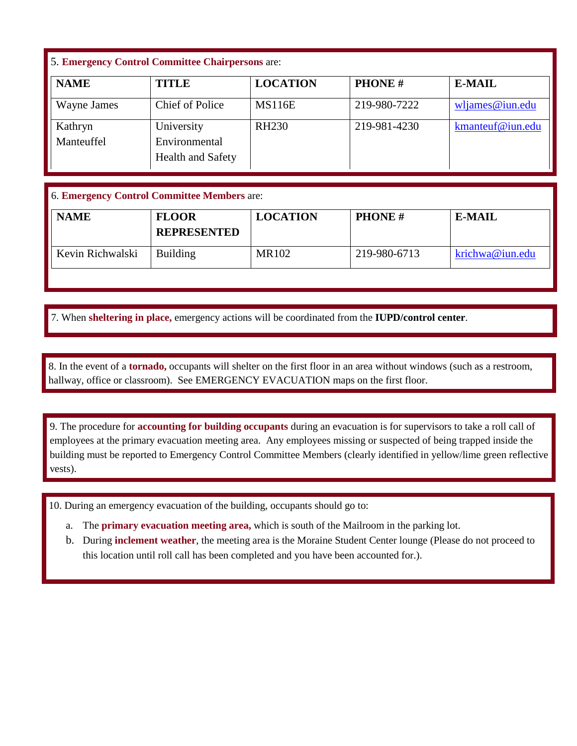## 5. **Emergency Control Committee Chairpersons** are:

| <b>NAME</b> | <b>TITLE</b>             | <b>LOCATION</b> | <b>PHONE#</b> | <b>E-MAIL</b>      |
|-------------|--------------------------|-----------------|---------------|--------------------|
| Wayne James | Chief of Police          | <b>MS116E</b>   | 219-980-7222  | $w$ ljames@iun.edu |
| Kathryn     | University               | <b>RH230</b>    | 219-981-4230  | kmanteuf@iun.edu   |
| Manteuffel  | Environmental            |                 |               |                    |
|             | <b>Health and Safety</b> |                 |               |                    |

## 6. **Emergency Control Committee Members** are:

| <b>NAME</b>      | <b>FLOOR</b><br><b>REPRESENTED</b> | <b>LOCATION</b> | <b>PHONE#</b> | <b>E-MAIL</b>   |
|------------------|------------------------------------|-----------------|---------------|-----------------|
| Kevin Richwalski | <b>Building</b>                    | MR102           | 219-980-6713  | krichwa@iun.edu |

7. When sheltering in place, emergency actions will be coordinated from the IUPD/control center. 7. When **sheltering in place,** emergency actions will be coordinated from the **IUPD/control center**.

 hallway, office or classroom). See EMERGENCY EVACUATION maps on the first floor. 8. In the event of a **tornado**, occupants will shelter on the first floor in an area without windows (such as a restroom, hallway, office or classroom). See EMERGENCY EVACUATION maps on the first floor. 8. In the event of a **tornado,** occupants will shelter on the first floor in an area without windows (such as a restroom,

 9. The procedure for **accounting for building occupants** during an evacuation is for supervisors to take a roll call of employees at the primary evacuation meeting area. Any employees missing or suspected of being trapped inside the building must be reported to Emergency Control Committee Members (clearly identified in yellow/lime green reflective vests).

10. During an emergency evacuation of the building, occupants should go to:

- a. The **primary evacuation meeting area,** which is south of the Mailroom in the parking lot.
- b. During **inclement weather**, the meeting area is the Moraine Student Center lounge (Please do not proceed to this location until roll call has been completed and you have been accounted for.).